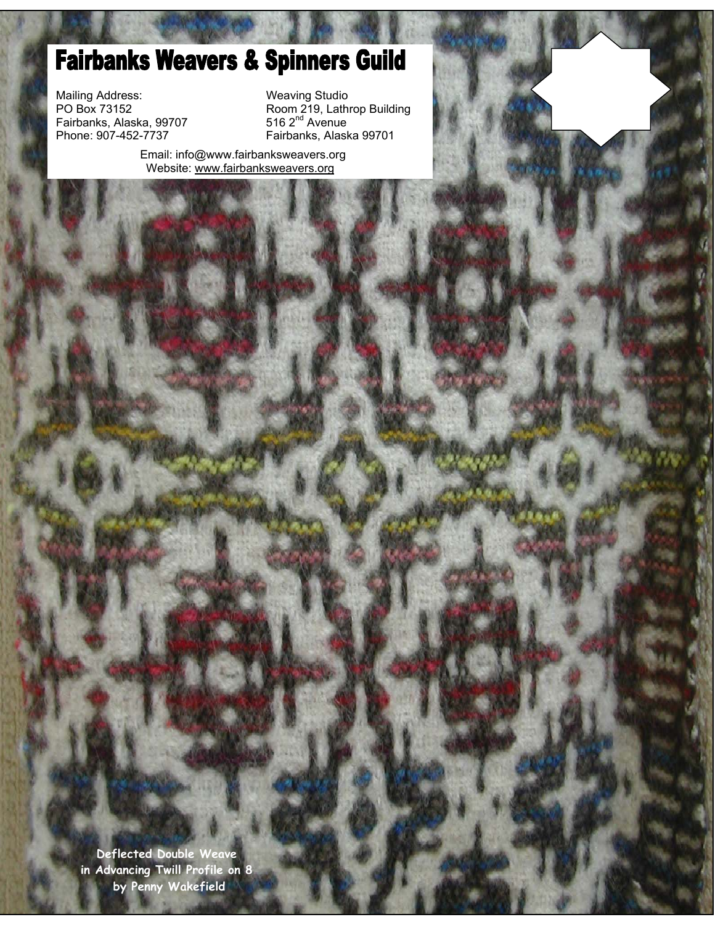# **Fairbanks Weavers & Spinners Guild**

Mailing Address: Weaving Studio Mailing Address:<br>PO Box 73152<br>Fairbanks, Alaska, 99707<br>Phone: 907-452-7737

PO Box 73152 **Room 219, Lathrop Building** Fairbanks, Alaska 99701

> Email: info@www.fairbanksweavers.org Website: www.fairbanksweavers.org

**Deflected Double Weave in Advancing Twill Profile on 8 by Penny Wakefield**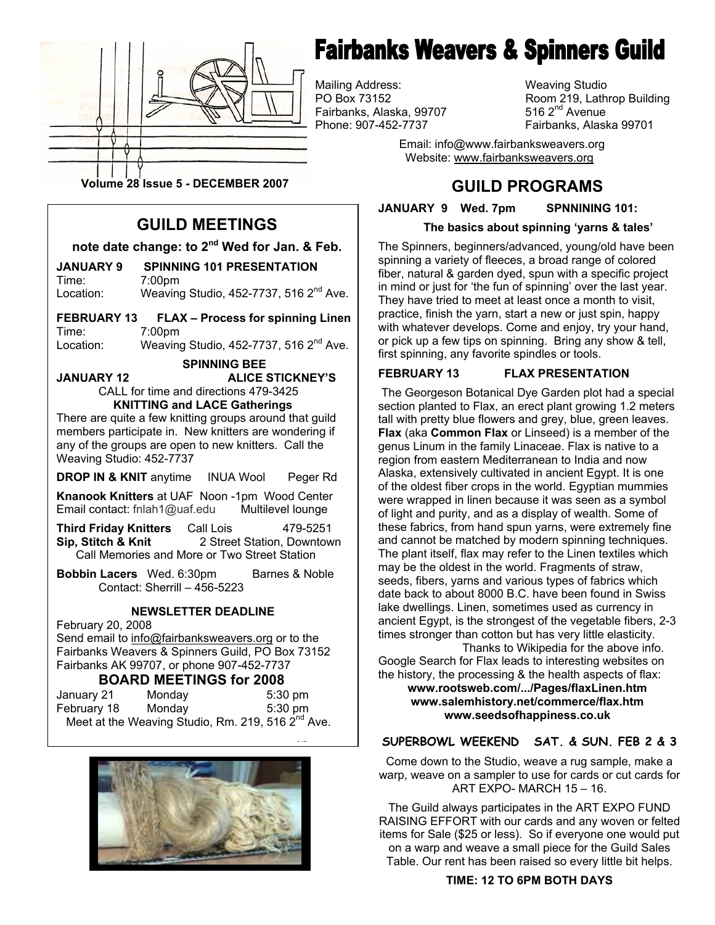

# **Fairbanks Weavers & Spinners Guild**

Mailing Address: Weaving Studio Fairbanks, Alaska, 99707<br>Phone: 907-452-7737

Room 219, Lathrop Building 516  $2<sup>nd</sup>$  Avenue Fairbanks, Alaska 99701

 Email: info@www.fairbanksweavers.org Website: www.fairbanksweavers.org

**Volume 28 Issue 5 - DECEMBER 2007**

## **GUILD MEETINGS**

**note date change: to 2nd Wed for Jan. & Feb.** 

**JANUARY 9 SPINNING 101 PRESENTATION**  Time: 7:00pm

Location: Weaving Studio, 452-7737, 516 2<sup>nd</sup> Ave.

**FEBRUARY 13 FLAX – Process for spinning Linen** Time: 7:00pm

Location: Weaving Studio,  $452-7737$ , 516  $2^{nd}$  Ave.

 **SPINNING BEE JANUARY 12 ALICE STICKNEY'S**  CALL for time and directions 479-3425

**KNITTING and LACE Gatherings** There are quite a few knitting groups around that guild members participate in. New knitters are wondering if

any of the groups are open to new knitters. Call the Weaving Studio: 452-7737

**DROP IN & KNIT** anytime INUA Wool Peger Rd

**Knanook Knitters** at UAF Noon -1pm Wood Center Email contact: fnlah1@uaf.edu Multilevel lounge

**Third Friday Knitters** Call Lois 479-5251<br>**Sip. Stitch & Knit** 2 Street Station. Downtow 2 Street Station, Downtown Call Memories and More or Two Street Station

**Bobbin Lacers** Wed. 6:30pm Barnes & Noble Contact: Sherrill – 456-5223

#### **NEWSLETTER DEADLINE**

February 20, 2008

Send email to info@fairbanksweavers.org or to the Fairbanks Weavers & Spinners Guild, PO Box 73152 Fairbanks AK 99707, or phone 907-452-7737

#### **BOARD MEETINGS for 2008**

| January 21  | Monday | $5:30 \text{ pm}$                                             |
|-------------|--------|---------------------------------------------------------------|
| February 18 | Mondav | $5:30$ pm                                                     |
|             |        | Meet at the Weaving Studio, Rm. 219, 516 2 <sup>nd</sup> Ave. |



**ND**

**GUILD PROGRAMS** 

**JANUARY 9 Wed. 7pm SPNNINING 101:** 

#### **The basics about spinning 'yarns & tales'**

The Spinners, beginners/advanced, young/old have been spinning a variety of fleeces, a broad range of colored fiber, natural & garden dyed, spun with a specific project in mind or just for 'the fun of spinning' over the last year. They have tried to meet at least once a month to visit, practice, finish the yarn, start a new or just spin, happy with whatever develops. Come and enjoy, try your hand, or pick up a few tips on spinning. Bring any show & tell, first spinning, any favorite spindles or tools.

#### **FEBRUARY 13 FLAX PRESENTATION**

The Georgeson Botanical Dye Garden plot had a special section planted to Flax, an erect plant growing 1.2 meters tall with pretty blue flowers and grey, blue, green leaves. **Flax** (aka **Common Flax** or Linseed) is a member of the genus Linum in the family Linaceae. Flax is native to a region from eastern Mediterranean to India and now Alaska, extensively cultivated in ancient Egypt. It is one of the oldest fiber crops in the world. Egyptian mummies were wrapped in linen because it was seen as a symbol of light and purity, and as a display of wealth. Some of these fabrics, from hand spun yarns, were extremely fine and cannot be matched by modern spinning techniques. The plant itself, flax may refer to the Linen textiles which may be the oldest in the world. Fragments of straw, seeds, fibers, yarns and various types of fabrics which date back to about 8000 B.C. have been found in Swiss lake dwellings. Linen, sometimes used as currency in ancient Egypt, is the strongest of the vegetable fibers, 2-3 times stronger than cotton but has very little elasticity.

 **www.salemhistory.net/commerce/flax.htm**  Thanks to Wikipedia for the above info. Google Search for Flax leads to interesting websites on the history, the processing & the health aspects of flax: **www.rootsweb.com/.../Pages/flaxLinen.htm www.seedsofhappiness.co.uk** 

### **SUPERBOWL WEEKEND SAT. & SUN. FEB 2 & 3**

Come down to the Studio, weave a rug sample, make a warp, weave on a sampler to use for cards or cut cards for ART EXPO- MARCH 15 – 16.

The Guild always participates in the ART EXPO FUND RAISING EFFORT with our cards and any woven or felted items for Sale (\$25 or less). So if everyone one would put on a warp and weave a small piece for the Guild Sales Table. Our rent has been raised so every little bit helps.

#### **TIME: 12 TO 6PM BOTH DAYS**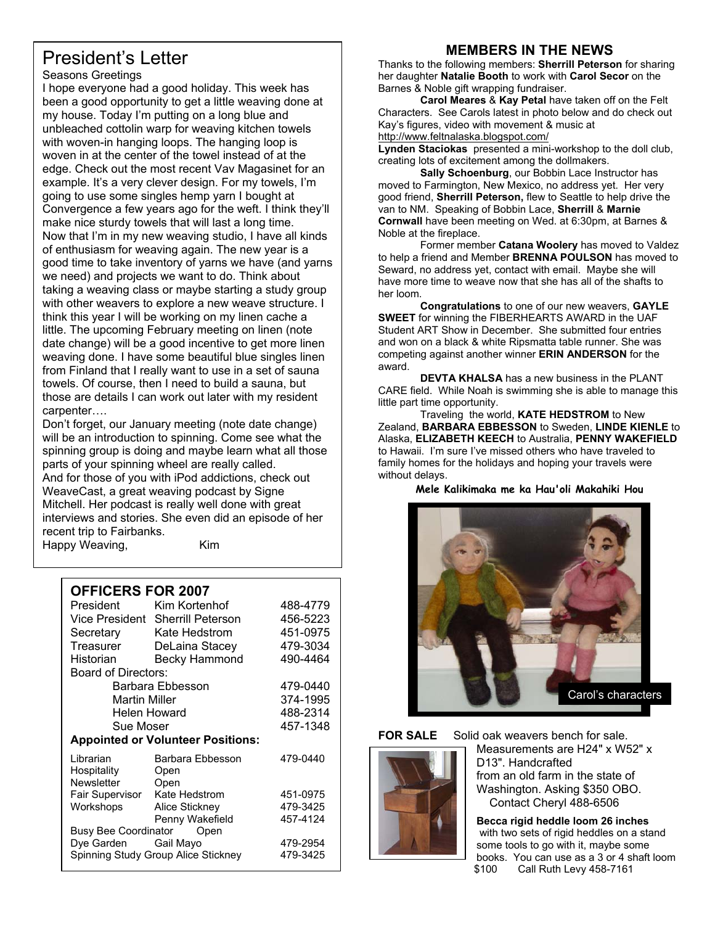## President's Letter

#### Seasons Greetings

I hope everyone had a good holiday. This week has been a good opportunity to get a little weaving done at my house. Today I'm putting on a long blue and unbleached cottolin warp for weaving kitchen towels with woven-in hanging loops. The hanging loop is woven in at the center of the towel instead of at the edge. Check out the most recent Vav Magasinet for an example. It's a very clever design. For my towels, I'm going to use some singles hemp yarn I bought at Convergence a few years ago for the weft. I think they'll make nice sturdy towels that will last a long time. Now that I'm in my new weaving studio, I have all kinds of enthusiasm for weaving again. The new year is a good time to take inventory of yarns we have (and yarns we need) and projects we want to do. Think about taking a weaving class or maybe starting a study group with other weavers to explore a new weave structure. I think this year I will be working on my linen cache a little. The upcoming February meeting on linen (note date change) will be a good incentive to get more linen weaving done. I have some beautiful blue singles linen from Finland that I really want to use in a set of sauna towels. Of course, then I need to build a sauna, but those are details I can work out later with my resident carpenter….

Don't forget, our January meeting (note date change) will be an introduction to spinning. Come see what the spinning group is doing and maybe learn what all those parts of your spinning wheel are really called. And for those of you with iPod addictions, check out WeaveCast, a great weaving podcast by Signe Mitchell. Her podcast is really well done with great interviews and stories. She even did an episode of her recent trip to Fairbanks.

Happy Weaving, Kim

| <b>OFFICERS FOR 2007</b>                        |                   |  |  |  |
|-------------------------------------------------|-------------------|--|--|--|
| Kim Kortenhof                                   | 488-4779          |  |  |  |
| Vice President Sherrill Peterson                | 456-5223          |  |  |  |
| Secretary<br>Kate Hedstrom                      | 451-0975          |  |  |  |
| DeLaina Stacey                                  | 479-3034          |  |  |  |
| <b>Becky Hammond</b>                            | 490-4464          |  |  |  |
| <b>Board of Directors:</b>                      |                   |  |  |  |
| Barbara Ebbesson                                |                   |  |  |  |
| <b>Martin Miller</b>                            |                   |  |  |  |
| Helen Howard                                    |                   |  |  |  |
| Sue Moser                                       |                   |  |  |  |
| <b>Appointed or Volunteer Positions:</b>        |                   |  |  |  |
| Barbara Ebbesson<br>Open                        | 479-0440          |  |  |  |
| Kate Hedstrom<br>Fair Supervisor                | 451-0975          |  |  |  |
| Alice Stickney                                  | 479-3425          |  |  |  |
| Penny Wakefield                                 | 457-4124          |  |  |  |
| Busy Bee Coordinator<br>Open<br>Dye Garden      |                   |  |  |  |
|                                                 | 479-2954          |  |  |  |
| Spinning Study Group Alice Stickney<br>479-3425 |                   |  |  |  |
|                                                 | Open<br>Gail Mayo |  |  |  |

## **MEMBERS IN THE NEWS**

Thanks to the following members: **Sherrill Peterson** for sharing her daughter **Natalie Booth** to work with **Carol Secor** on the Barnes & Noble gift wrapping fundraiser.

**Carol Meares** & **Kay Petal** have taken off on the Felt Characters. See Carols latest in photo below and do check out Kay's figures, video with movement & music at http://www.feltnalaska.blogspot.com/

**Lynden Staciokas** presented a mini-workshop to the doll club, creating lots of excitement among the dollmakers.

 **Sally Schoenburg**, our Bobbin Lace Instructor has moved to Farmington, New Mexico, no address yet. Her very good friend, **Sherrill Peterson,** flew to Seattle to help drive the van to NM. Speaking of Bobbin Lace, **Sherrill** & **Marnie Cornwall** have been meeting on Wed. at 6:30pm, at Barnes & Noble at the fireplace.

Former member **Catana Woolery** has moved to Valdez to help a friend and Member **BRENNA POULSON** has moved to Seward, no address yet, contact with email. Maybe she will have more time to weave now that she has all of the shafts to her loom.

 **Congratulations** to one of our new weavers, **GAYLE SWEET** for winning the FIBERHEARTS AWARD in the UAF Student ART Show in December. She submitted four entries and won on a black & white Ripsmatta table runner. She was competing against another winner **ERIN ANDERSON** for the award.

**DEVTA KHALSA** has a new business in the PLANT CARE field. While Noah is swimming she is able to manage this little part time opportunity.

 Traveling the world, **KATE HEDSTROM** to New Zealand, **BARBARA EBBESSON** to Sweden, **LINDE KIENLE** to Alaska, **ELIZABETH KEECH** to Australia, **PENNY WAKEFIELD** to Hawaii. I'm sure I've missed others who have traveled to family homes for the holidays and hoping your travels were without delays.

**Mele Kalikimaka me ka Hau'oli Makahiki Hou** 





**FOR SALE** Solid oak weavers bench for sale. Measurements are H24" x W52" x D13". Handcrafted from an old farm in the state of Washington. Asking \$350 OBO. Contact Cheryl 488-6506

> **Becca rigid heddle loom 26 inches**  with two sets of rigid heddles on a stand some tools to go with it, maybe some books. You can use as a 3 or 4 shaft loom \$100 Call Ruth Levy 458-7161